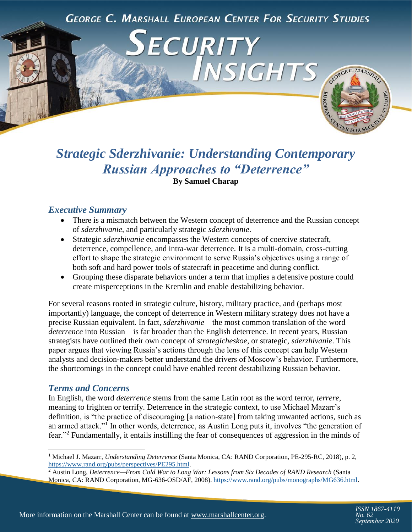**GEORGE C. MARSHALL EUROPEAN CENTER FOR SECURITY STUDIES** 

ECURITY



# *Strategic Sderzhivanie: Understanding Contemporary Russian Approaches to "Deterrence"* **By Samuel Charap**

# *Executive Summary*

- There is a mismatch between the Western concept of deterrence and the Russian concept of *sderzhivanie*, and particularly strategic *sderzhivanie*.
- Strategic *sderzhivanie* encompasses the Western concepts of coercive statecraft, deterrence, compellence, and intra-war deterrence. It is a multi-domain, cross-cutting effort to shape the strategic environment to serve Russia's objectives using a range of both soft and hard power tools of statecraft in peacetime and during conflict.
- Grouping these disparate behaviors under a term that implies a defensive posture could create misperceptions in the Kremlin and enable destabilizing behavior.

For several reasons rooted in strategic culture, history, military practice, and (perhaps most importantly) language, the concept of deterrence in Western military strategy does not have a precise Russian equivalent. In fact, *sderzhivanie*—the most common translation of the word *deterrence* into Russian—is far broader than the English deterrence. In recent years, Russian strategists have outlined their own concept of *strategicheskoe*, or strategic, *sderzhivanie*. This paper argues that viewing Russia's actions through the lens of this concept can help Western analysts and decision-makers better understand the drivers of Moscow's behavior. Furthermore, the shortcomings in the concept could have enabled recent destabilizing Russian behavior.

#### *Terms and Concerns*

In English, the word *deterrence* stems from the same Latin root as the word terror, *terrere*, meaning to frighten or terrify. Deterrence in the strategic context, to use Michael Mazarr's definition, is "the practice of discouraging [a nation-state] from taking unwanted actions, such as an armed attack."<sup>1</sup> In other words, deterrence, as Austin Long puts it, involves "the generation of fear."<sup>2</sup> Fundamentally, it entails instilling the fear of consequences of aggression in the minds of

<sup>1</sup> Michael J. Mazarr, *Understanding Deterrence* (Santa Monica, CA: RAND Corporation, PE-295-RC, 2018), p. 2, [https://www.rand.org/pubs/perspectives/PE295.html.](https://www.rand.org/pubs/perspectives/PE295.html)

<sup>2</sup> Austin Long, *Deterrence—From Cold War to Long War: Lessons from Six Decades of RAND Research* (Santa Monica, CA: RAND Corporation, MG-636-OSD/AF, 2008)[. https://www.rand.org/pubs/monographs/MG636.html.](https://www.rand.org/pubs/monographs/MG636.html)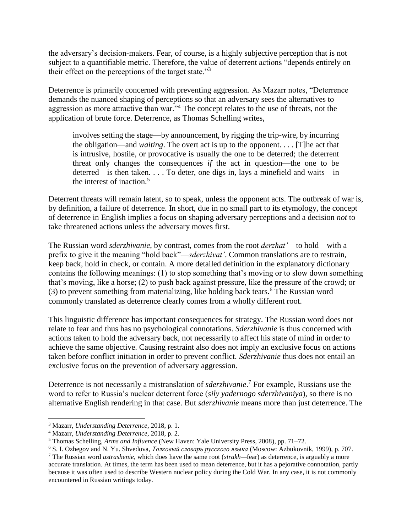the adversary's decision-makers. Fear, of course, is a highly subjective perception that is not subject to a quantifiable metric. Therefore, the value of deterrent actions "depends entirely on their effect on the perceptions of the target state."<sup>3</sup>

Deterrence is primarily concerned with preventing aggression. As Mazarr notes, "Deterrence demands the nuanced shaping of perceptions so that an adversary sees the alternatives to aggression as more attractive than war."<sup>4</sup> The concept relates to the use of threats, not the application of brute force. Deterrence, as Thomas Schelling writes,

involves setting the stage—by announcement, by rigging the trip-wire, by incurring the obligation—and *waiting*. The overt act is up to the opponent. . . . [T]he act that is intrusive, hostile, or provocative is usually the one to be deterred; the deterrent threat only changes the consequences *if* the act in question—the one to be deterred—is then taken. . . . To deter, one digs in, lays a minefield and waits—in the interest of inaction.<sup>5</sup>

Deterrent threats will remain latent, so to speak, unless the opponent acts. The outbreak of war is, by definition, a failure of deterrence. In short, due in no small part to its etymology, the concept of deterrence in English implies a focus on shaping adversary perceptions and a decision *not* to take threatened actions unless the adversary moves first.

The Russian word *sderzhivanie*, by contrast, comes from the root *derzhat'*—to hold—with a prefix to give it the meaning "hold back"—*sderzhivat'*. Common translations are to restrain, keep back, hold in check, or contain. A more detailed definition in the explanatory dictionary contains the following meanings: (1) to stop something that's moving or to slow down something that's moving, like a horse; (2) to push back against pressure, like the pressure of the crowd; or  $(3)$  to prevent something from materializing, like holding back tears.<sup>6</sup> The Russian word commonly translated as deterrence clearly comes from a wholly different root.

This linguistic difference has important consequences for strategy. The Russian word does not relate to fear and thus has no psychological connotations. *Sderzhivanie* is thus concerned with actions taken to hold the adversary back, not necessarily to affect his state of mind in order to achieve the same objective. Causing restraint also does not imply an exclusive focus on actions taken before conflict initiation in order to prevent conflict. *Sderzhivanie* thus does not entail an exclusive focus on the prevention of adversary aggression.

Deterrence is not necessarily a mistranslation of *sderzhivanie*. <sup>7</sup> For example, Russians use the word to refer to Russia's nuclear deterrent force (*sily yadernogo sderzhivaniya*), so there is no alternative English rendering in that case. But *sderzhivanie* means more than just deterrence. The

 $\overline{a}$ 

<sup>3</sup> Mazarr, *Understanding Deterrence*, 2018, p. 1.

<sup>4</sup> Mazarr, *Understanding Deterrence*, 2018, p. 2.

<sup>5</sup> Thomas Schelling, *Arms and Influence* (New Haven: Yale University Press, 2008), pp. 71–72.

<sup>6</sup> S. I. Ozhegov and N. Yu. Shvedova, *Толковый словарь русского языка* (Moscow: Azbukovnik, 1999), p. 707.

<sup>7</sup> The Russian word *ustrashenie*, which does have the same root (*strakh—*fear) as deterrence, is arguably a more accurate translation. At times, the term has been used to mean deterrence, but it has a pejorative connotation, partly because it was often used to describe Western nuclear policy during the Cold War. In any case, it is not commonly encountered in Russian writings today.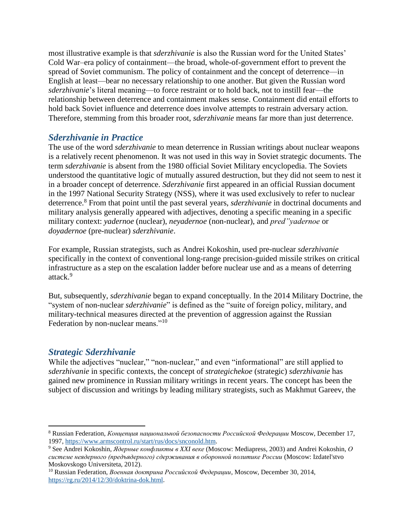most illustrative example is that *sderzhivanie* is also the Russian word for the United States' Cold War–era policy of containment—the broad, whole-of-government effort to prevent the spread of Soviet communism. The policy of containment and the concept of deterrence—in English at least—bear no necessary relationship to one another. But given the Russian word *sderzhivanie*'s literal meaning—to force restraint or to hold back, not to instill fear—the relationship between deterrence and containment makes sense. Containment did entail efforts to hold back Soviet influence and deterrence does involve attempts to restrain adversary action. Therefore, stemming from this broader root, *sderzhivanie* means far more than just deterrence.

# *Sderzhivanie in Practice*

The use of the word *sderzhivanie* to mean deterrence in Russian writings about nuclear weapons is a relatively recent phenomenon. It was not used in this way in Soviet strategic documents. The term *sderzhivanie* is absent from the 1980 official Soviet Military encyclopedia. The Soviets understood the quantitative logic of mutually assured destruction, but they did not seem to nest it in a broader concept of deterrence. *Sderzhivanie* first appeared in an official Russian document in the 1997 National Security Strategy (NSS), where it was used exclusively to refer to nuclear deterrence.<sup>8</sup> From that point until the past several years, *sderzhivanie* in doctrinal documents and military analysis generally appeared with adjectives, denoting a specific meaning in a specific military context: *yadernoe* (nuclear), *neyadernoe* (non-nuclear), and *pred"yadernoe* or *doyadernoe* (pre-nuclear) *sderzhivanie*.

For example, Russian strategists, such as Andrei Kokoshin, used pre-nuclear *sderzhivanie* specifically in the context of conventional long-range precision-guided missile strikes on critical infrastructure as a step on the escalation ladder before nuclear use and as a means of deterring attack.<sup>9</sup>

But, subsequently, *sderzhivanie* began to expand conceptually. In the 2014 Military Doctrine, the "system of non-nuclear *sderzhivanie*" is defined as the "suite of foreign policy, military, and military-technical measures directed at the prevention of aggression against the Russian Federation by non-nuclear means."<sup>10</sup>

# *Strategic Sderzhivanie*

 $\overline{\phantom{a}}$ 

While the adjectives "nuclear," "non-nuclear," and even "informational" are still applied to *sderzhivanie* in specific contexts, the concept of *strategichekoe* (strategic) *sderzhivanie* has gained new prominence in Russian military writings in recent years. The concept has been the subject of discussion and writings by leading military strategists, such as Makhmut Gareev, the

<sup>8</sup> Russian Federation, *Концепция национальной безопасности Российской Федерации* Moscow, December 17, 1997, [https://www.armscontrol.ru/start/rus/docs/snconold.htm.](https://www.armscontrol.ru/start/rus/docs/snconold.htm)

<sup>9</sup> See Andrei Kokoshin, *Ядерные конфликты в XXI веке* (Moscow: Mediapress, 2003) and Andrei Kokoshin, *О системе неядерного (предъядерного) сдерживания в оборонной политике России* (Moscow: Izdatel'stvo Moskovskogo Universiteta, 2012).

<sup>10</sup> Russian Federation, *Военная доктрина Российской Федерации*, Moscow, December 30, 2014, [https://rg.ru/2014/12/30/doktrina-dok.html.](https://rg.ru/2014/12/30/doktrina-dok.html)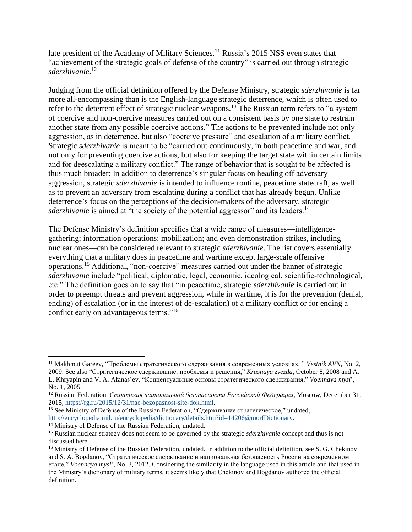late president of the Academy of Military Sciences.<sup>11</sup> Russia's 2015 NSS even states that "achievement of the strategic goals of defense of the country" is carried out through strategic *sderzhivanie*. 12

Judging from the official definition offered by the Defense Ministry, strategic *sderzhivanie* is far more all-encompassing than is the English-language strategic deterrence, which is often used to refer to the deterrent effect of strategic nuclear weapons.<sup>13</sup> The Russian term refers to "a system" of coercive and non-coercive measures carried out on a consistent basis by one state to restrain another state from any possible coercive actions." The actions to be prevented include not only aggression, as in deterrence, but also "coercive pressure" and escalation of a military conflict. Strategic *sderzhivanie* is meant to be "carried out continuously, in both peacetime and war, and not only for preventing coercive actions, but also for keeping the target state within certain limits and for deescalating a military conflict." The range of behavior that is sought to be affected is thus much broader: In addition to deterrence's singular focus on heading off adversary aggression, strategic *sderzhivanie* is intended to influence routine, peacetime statecraft, as well as to prevent an adversary from escalating during a conflict that has already begun. Unlike deterrence's focus on the perceptions of the decision-makers of the adversary, strategic *sderzhivanie* is aimed at "the society of the potential aggressor" and its leaders.<sup>14</sup>

The Defense Ministry's definition specifies that a wide range of measures—intelligencegathering; information operations; mobilization; and even demonstration strikes, including nuclear ones—can be considered relevant to strategic *sderzhivanie*. The list covers essentially everything that a military does in peacetime and wartime except large-scale offensive operations.<sup>15</sup> Additional, "non-coercive" measures carried out under the banner of strategic *sderzhivanie* include "political, diplomatic, legal, economic, ideological, scientific-technological, etc." The definition goes on to say that "in peacetime, strategic *sderzhivanie* is carried out in order to preempt threats and prevent aggression, while in wartime, it is for the prevention (denial, ending) of escalation (or in the interest of de-escalation) of a military conflict or for ending a conflict early on advantageous terms."<sup>16</sup>

 $\overline{\phantom{a}}$ 

<sup>11</sup> Makhmut Gareev, "Проблемы стратегического сдерживания в современных условиях, " *Vestnik AVN*, No. 2, 2009. See also "Стратегическое сдерживание: проблемы и решения," *Krasnaya zvezda*, October 8, 2008 and A. L. Khryapin and V. A. Afanas'ev, "Концептуальные основы стратегического сдерживания," *Voennaya mysl*', No. 1, 2005.

<sup>12</sup> Russian Federation, *Стратегия национальной безопасности Российской Федерации*, Moscow, December 31, 2015, [https://rg.ru/2015/12/31/nac-bezopasnost-site-dok.html.](https://rg.ru/2015/12/31/nac-bezopasnost-site-dok.html)

<sup>&</sup>lt;sup>13</sup> See Ministry of Defense of the Russian Federation, "Сдерживание стратегическое," undated, [http://encyclopedia.mil.ru/encyclopedia/dictionary/details.htm?id=14206@morfDictionary.](http://encyclopedia.mil.ru/encyclopedia/dictionary/details.htm?id=14206@morfDictionary)

<sup>&</sup>lt;sup>14</sup> Ministry of Defense of the Russian Federation, undated.

<sup>15</sup> Russian nuclear strategy does not seem to be governed by the strategic *sderzhivanie* concept and thus is not discussed here.

<sup>&</sup>lt;sup>16</sup> Ministry of Defense of the Russian Federation, undated. In addition to the official definition, see S. G. Chekinov and S. A. Bogdanov, "Стратегическое сдерживание и национальная безопасность России на современном етапе," *Voennaya mysl*', No. 3, 2012. Considering the similarity in the language used in this article and that used in the Ministry's dictionary of military terms, it seems likely that Chekinov and Bogdanov authored the official definition.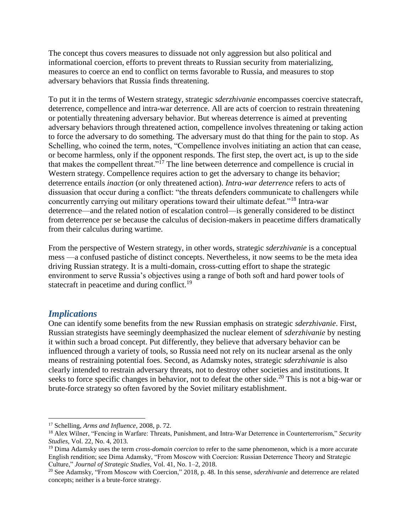The concept thus covers measures to dissuade not only aggression but also political and informational coercion, efforts to prevent threats to Russian security from materializing, measures to coerce an end to conflict on terms favorable to Russia, and measures to stop adversary behaviors that Russia finds threatening.

To put it in the terms of Western strategy, strategic *sderzhivanie* encompasses coercive statecraft, deterrence, compellence and intra-war deterrence. All are acts of coercion to restrain threatening or potentially threatening adversary behavior. But whereas deterrence is aimed at preventing adversary behaviors through threatened action, compellence involves threatening or taking action to force the adversary to do something. The adversary must do that thing for the pain to stop. As Schelling, who coined the term, notes, "Compellence involves initiating an action that can cease, or become harmless, only if the opponent responds. The first step, the overt act, is up to the side that makes the compellent threat.<sup> $5\overline{17}$ </sup> The line between deterrence and compellence is crucial in Western strategy. Compellence requires action to get the adversary to change its behavior; deterrence entails *inaction* (or only threatened action). *Intra-war deterrence* refers to acts of dissuasion that occur during a conflict: "the threats defenders communicate to challengers while concurrently carrying out military operations toward their ultimate defeat."<sup>18</sup> Intra-war deterrence—and the related notion of escalation control—is generally considered to be distinct from deterrence per se because the calculus of decision-makers in peacetime differs dramatically from their calculus during wartime.

From the perspective of Western strategy, in other words, strategic *sderzhivanie* is a conceptual mess —a confused pastiche of distinct concepts. Nevertheless, it now seems to be the meta idea driving Russian strategy. It is a multi-domain, cross-cutting effort to shape the strategic environment to serve Russia's objectives using a range of both soft and hard power tools of statecraft in peacetime and during conflict.<sup>19</sup>

#### *Implications*

 $\overline{a}$ 

One can identify some benefits from the new Russian emphasis on strategic *sderzhivanie*. First, Russian strategists have seemingly deemphasized the nuclear element of *sderzhivanie* by nesting it within such a broad concept. Put differently, they believe that adversary behavior can be influenced through a variety of tools, so Russia need not rely on its nuclear arsenal as the only means of restraining potential foes. Second, as Adamsky notes, strategic *sderzhivanie* is also clearly intended to restrain adversary threats, not to destroy other societies and institutions. It seeks to force specific changes in behavior, not to defeat the other side.<sup>20</sup> This is not a big-war or brute-force strategy so often favored by the Soviet military establishment.

<sup>17</sup> Schelling, *Arms and Influence,* 2008, p. 72.

<sup>18</sup> Alex Wilner, "Fencing in Warfare: Threats, Punishment, and Intra-War Deterrence in Counterterrorism," *Security Studies*, Vol. 22, No. 4, 2013.

<sup>19</sup> Dima Adamsky uses the term *cross-domain coercion* to refer to the same phenomenon, which is a more accurate English rendition; see Dima Adamsky, "From Moscow with Coercion: Russian Deterrence Theory and Strategic Culture," *Journal of Strategic Studies*, Vol. 41, No. 1–2, 2018.

<sup>20</sup> See Adamsky, "From Moscow with Coercion," 2018, p. 48. In this sense, *sderzhivanie* and deterrence are related concepts; neither is a brute-force strategy.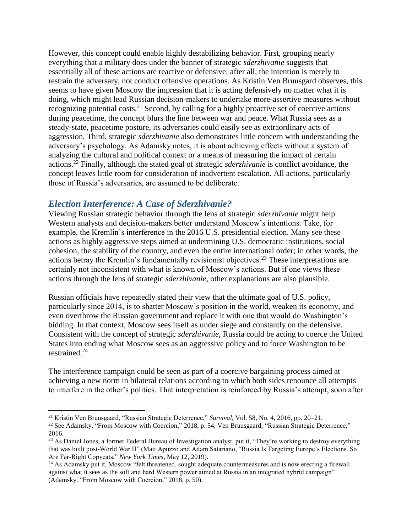However, this concept could enable highly destabilizing behavior. First, grouping nearly everything that a military does under the banner of strategic *sderzhivanie* suggests that essentially all of these actions are reactive or defensive; after all, the intention is merely to restrain the adversary, not conduct offensive operations. As Kristin Ven Bruusgard observes, this seems to have given Moscow the impression that it is acting defensively no matter what it is doing, which might lead Russian decision-makers to undertake more-assertive measures without recognizing potential costs.<sup>21</sup> Second, by calling for a highly proactive set of coercive actions during peacetime, the concept blurs the line between war and peace. What Russia sees as a steady-state, peacetime posture, its adversaries could easily see as extraordinary acts of aggression. Third, strategic *sderzhivanie* also demonstrates little concern with understanding the adversary's psychology. As Adamsky notes, it is about achieving effects without a system of analyzing the cultural and political context or a means of measuring the impact of certain actions. <sup>22</sup> Finally, although the stated goal of strategic *sderzhivanie* is conflict avoidance, the concept leaves little room for consideration of inadvertent escalation. All actions, particularly those of Russia's adversaries, are assumed to be deliberate.

#### *Election Interference: A Case of Sderzhivanie?*

 $\overline{\phantom{a}}$ 

Viewing Russian strategic behavior through the lens of strategic *sderzhivanie* might help Western analysts and decision-makers better understand Moscow's intentions. Take, for example, the Kremlin's interference in the 2016 U.S. presidential election. Many see these actions as highly aggressive steps aimed at undermining U.S. democratic institutions, social cohesion, the stability of the country, and even the entire international order; in other words, the actions betray the Kremlin's fundamentally revisionist objectives.<sup>23</sup> These interpretations are certainly not inconsistent with what is known of Moscow's actions. But if one views these actions through the lens of strategic *sderzhivanie*, other explanations are also plausible.

Russian officials have repeatedly stated their view that the ultimate goal of U.S. policy, particularly since 2014, is to shatter Moscow's position in the world, weaken its economy, and even overthrow the Russian government and replace it with one that would do Washington's bidding. In that context, Moscow sees itself as under siege and constantly on the defensive. Consistent with the concept of strategic *sderzhivanie*, Russia could be acting to coerce the United States into ending what Moscow sees as an aggressive policy and to force Washington to be restrained.<sup>24</sup>

The interference campaign could be seen as part of a coercive bargaining process aimed at achieving a new norm in bilateral relations according to which both sides renounce all attempts to interfere in the other's politics. That interpretation is reinforced by Russia's attempt, soon after

<sup>21</sup> Kristin Ven Bruusgaard, "Russian Strategic Deterrence," *Survival*, Vol. 58, No. 4, 2016, pp. 20–21.

<sup>&</sup>lt;sup>22</sup> See Adamsky, "From Moscow with Coercion," 2018, p. 54; Ven Bruusgaard, "Russian Strategic Deterrence," 2016.

<sup>&</sup>lt;sup>23</sup> As Daniel Jones, a former Federal Bureau of Investigation analyst, put it, "They're working to destroy everything that was built post-World War II" (Matt Apuzzo and Adam Satariano, "Russia Is Targeting Europe's Elections. So Are Far-Right Copycats," *New York Times*, May 12, 2019).

<sup>&</sup>lt;sup>24</sup> As Adamsky put it, Moscow "felt threatened, sought adequate countermeasures and is now erecting a firewall against what it sees as the soft and hard Western power aimed at Russia in an integrated hybrid campaign" (Adamsky, "From Moscow with Coercion," 2018, p. 50).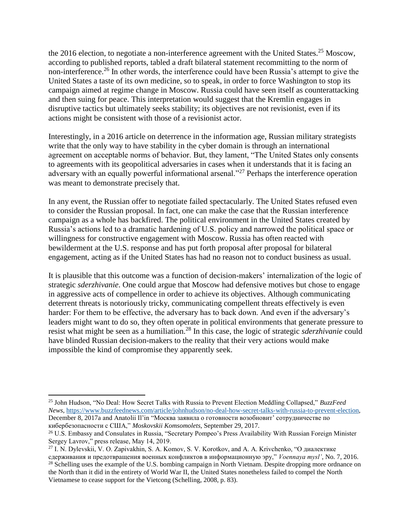the 2016 election, to negotiate a non-interference agreement with the United States.<sup>25</sup> Moscow, according to published reports, tabled a draft bilateral statement recommitting to the norm of non-interference.<sup>26</sup> In other words, the interference could have been Russia's attempt to give the United States a taste of its own medicine, so to speak, in order to force Washington to stop its campaign aimed at regime change in Moscow. Russia could have seen itself as counterattacking and then suing for peace. This interpretation would suggest that the Kremlin engages in disruptive tactics but ultimately seeks stability; its objectives are not revisionist, even if its actions might be consistent with those of a revisionist actor.

Interestingly, in a 2016 article on deterrence in the information age, Russian military strategists write that the only way to have stability in the cyber domain is through an international agreement on acceptable norms of behavior. But, they lament, "The United States only consents to agreements with its geopolitical adversaries in cases when it understands that it is facing an adversary with an equally powerful informational arsenal."<sup>27</sup> Perhaps the interference operation was meant to demonstrate precisely that.

In any event, the Russian offer to negotiate failed spectacularly. The United States refused even to consider the Russian proposal. In fact, one can make the case that the Russian interference campaign as a whole has backfired. The political environment in the United States created by Russia's actions led to a dramatic hardening of U.S. policy and narrowed the political space or willingness for constructive engagement with Moscow. Russia has often reacted with bewilderment at the U.S. response and has put forth proposal after proposal for bilateral engagement, acting as if the United States has had no reason not to conduct business as usual.

It is plausible that this outcome was a function of decision-makers' internalization of the logic of strategic *sderzhivanie*. One could argue that Moscow had defensive motives but chose to engage in aggressive acts of compellence in order to achieve its objectives. Although communicating deterrent threats is notoriously tricky, communicating compellent threats effectively is even harder: For them to be effective, the adversary has to back down. And even if the adversary's leaders might want to do so, they often operate in political environments that generate pressure to resist what might be seen as a humiliation.<sup>28</sup> In this case, the logic of strategic *sderzhivanie* could have blinded Russian decision-makers to the reality that their very actions would make impossible the kind of compromise they apparently seek.

l

<sup>25</sup> John Hudson, "No Deal: How Secret Talks with Russia to Prevent Election Meddling Collapsed," *BuzzFeed News*[, https://www.buzzfeednews.com/article/johnhudson/no-deal-how-secret-talks-with-russia-to-prevent-election,](https://www.buzzfeednews.com/article/johnhudson/no-deal-how-secret-talks-with-russia-to-prevent-election) December 8, 2017a and Anatolii Il'in "Москва заявила о готовности возобновит' сотрудничестве по кибербезопасности с США," *Moskovskii Komsomolets*, September 29, 2017.

<sup>&</sup>lt;sup>26</sup> U.S. Embassy and Consulates in Russia, "Secretary Pompeo's Press Availability With Russian Foreign Minister Sergey Lavrov," press release, May 14, 2019.

<sup>27</sup> I. N. Dylevskii, V. O. Zapivakhin, S. A. Komov, S. V. Korotkov, and A. A. Krivchenko, "О диалектике сдерживания и предотвращения военных конфликтов в информационную эру," *Voennaya mysl'*, No. 7, 2016. <sup>28</sup> Schelling uses the example of the U.S. bombing campaign in North Vietnam. Despite dropping more ordnance on the North than it did in the entirety of World War II, the United States nonetheless failed to compel the North Vietnamese to cease support for the Vietcong (Schelling, 2008, p. 83).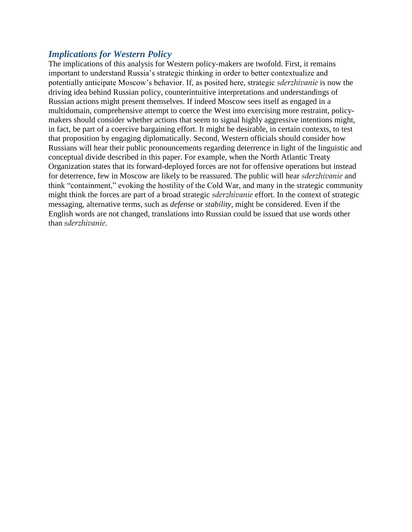#### *Implications for Western Policy*

The implications of this analysis for Western policy-makers are twofold. First, it remains important to understand Russia's strategic thinking in order to better contextualize and potentially anticipate Moscow's behavior. If, as posited here, strategic *sderzhivanie* is now the driving idea behind Russian policy, counterintuitive interpretations and understandings of Russian actions might present themselves. If indeed Moscow sees itself as engaged in a multidomain, comprehensive attempt to coerce the West into exercising more restraint, policymakers should consider whether actions that seem to signal highly aggressive intentions might, in fact, be part of a coercive bargaining effort. It might be desirable, in certain contexts, to test that proposition by engaging diplomatically. Second, Western officials should consider how Russians will hear their public pronouncements regarding deterrence in light of the linguistic and conceptual divide described in this paper. For example, when the North Atlantic Treaty Organization states that its forward-deployed forces are not for offensive operations but instead for deterrence, few in Moscow are likely to be reassured. The public will hear *sderzhivanie* and think "containment," evoking the hostility of the Cold War, and many in the strategic community might think the forces are part of a broad strategic *sderzhivanie* effort. In the context of strategic messaging, alternative terms, such as *defense* or *stability*, might be considered. Even if the English words are not changed, translations into Russian could be issued that use words other than *sderzhivanie*.